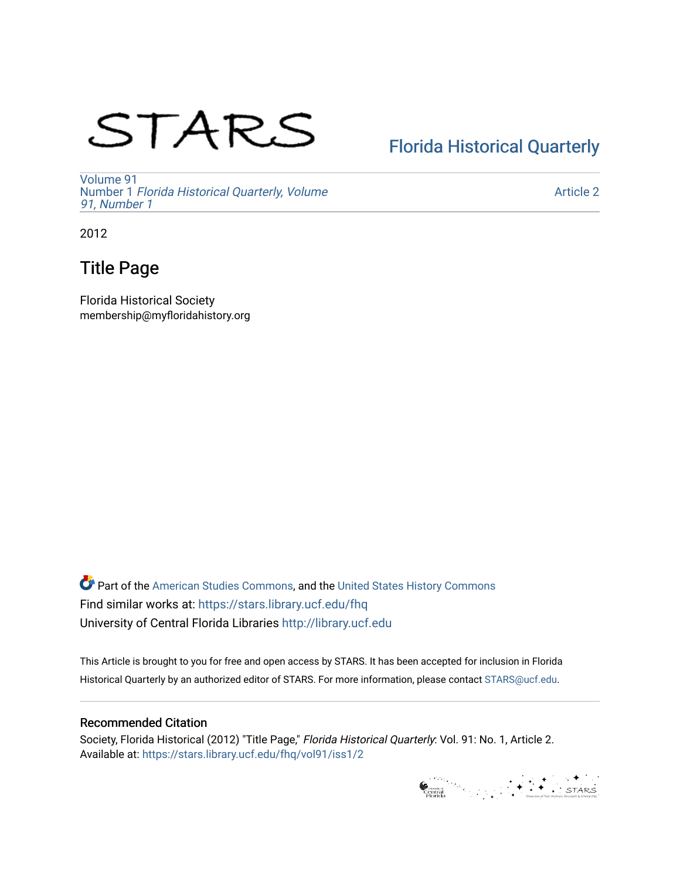## STARS

## [Florida Historical Quarterly](https://stars.library.ucf.edu/fhq)

[Volume 91](https://stars.library.ucf.edu/fhq/vol91) Number 1 [Florida Historical Quarterly, Volume](https://stars.library.ucf.edu/fhq/vol91/iss1)  [91, Number 1](https://stars.library.ucf.edu/fhq/vol91/iss1)

[Article 2](https://stars.library.ucf.edu/fhq/vol91/iss1/2) 

2012

### Title Page

Florida Historical Society membership@myfloridahistory.org

**C** Part of the [American Studies Commons](http://network.bepress.com/hgg/discipline/439?utm_source=stars.library.ucf.edu%2Ffhq%2Fvol91%2Fiss1%2F2&utm_medium=PDF&utm_campaign=PDFCoverPages), and the United States History Commons Find similar works at: <https://stars.library.ucf.edu/fhq> University of Central Florida Libraries [http://library.ucf.edu](http://library.ucf.edu/) 

This Article is brought to you for free and open access by STARS. It has been accepted for inclusion in Florida Historical Quarterly by an authorized editor of STARS. For more information, please contact [STARS@ucf.edu.](mailto:STARS@ucf.edu)

#### Recommended Citation

Society, Florida Historical (2012) "Title Page," Florida Historical Quarterly: Vol. 91: No. 1, Article 2. Available at: [https://stars.library.ucf.edu/fhq/vol91/iss1/2](https://stars.library.ucf.edu/fhq/vol91/iss1/2?utm_source=stars.library.ucf.edu%2Ffhq%2Fvol91%2Fiss1%2F2&utm_medium=PDF&utm_campaign=PDFCoverPages) 

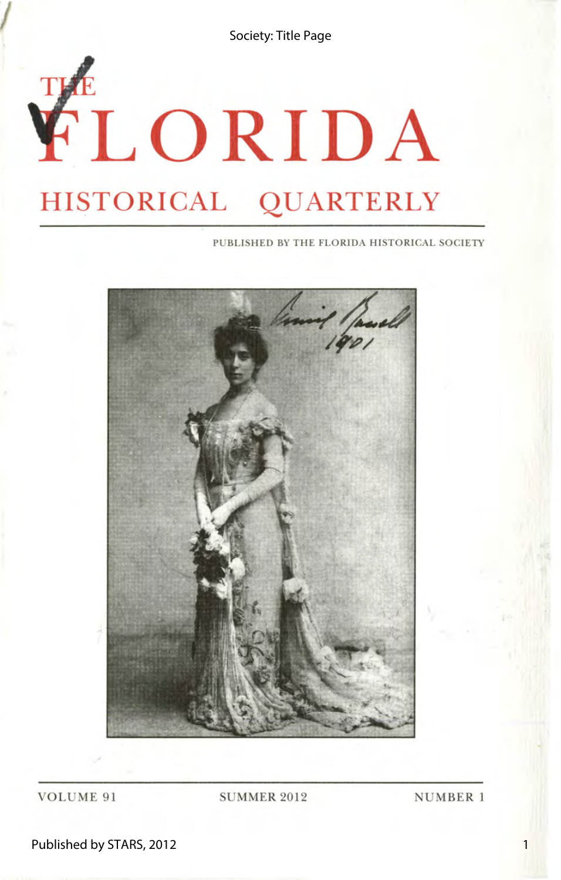Society: Title Page

# **FLORIDA HISTORICAL QUARTERLY**

PUBLISHED BY THE FLORIDA HISTORICAL SOCIETY



VOLUME 91 SUMMER 2012 NUMBER 1

Published by STARS, 2012

1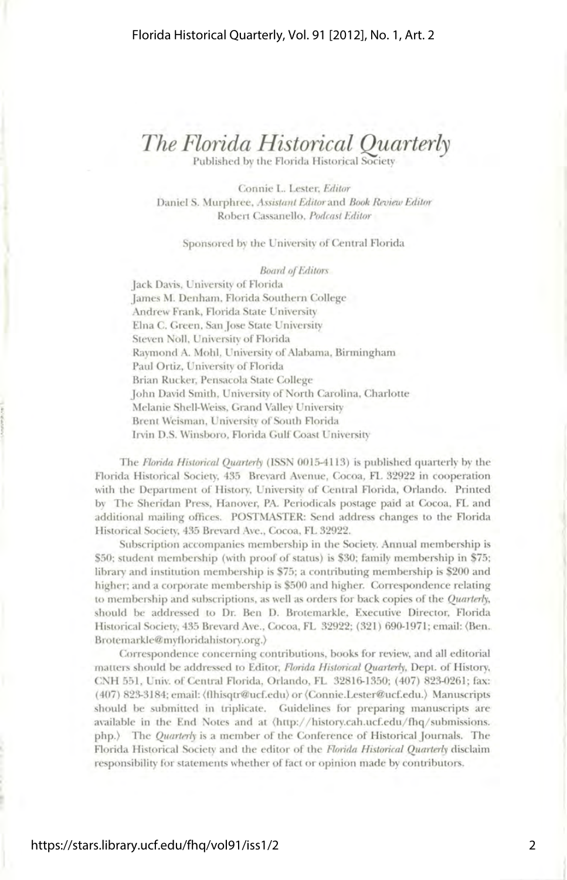## *The Florida Historical Quarterly*

Published by the Florida Historical Society

Connie L. Lester, *Editor*  Daniel S. Murphree, *Assistant Editor* and *Book Review Editor*  Robert Cassanello, *Podcast Editor* 

#### Sponsored by the University of Central Florida

#### *Board of Editors*

Jack Davis, University of Florida James M. Denham, Florida Southern College Andrew Frank, Florida State University Elna C. Green, San Jose State University Steven Noll, University of Florida Raymond A. Mohl, University of Alabama, Birmingham Paul Ortiz, University of Florida Brian Rucker, Pensacola State College John David Smith, University of North Carolina, Charlotte Melanie Shell-Weiss, Grand Valley University Brent Weisman, University of South Florida Irvin D.S. Winsboro, Florida Gulf Coast University

The *Florida Historical Quarterly* (ISSN 0015-4113) is published quarterly by the Florida Historical Society, 435 Brevard Avenue, Cocoa, FL 32922 in cooperation with the Department of History, University of Central Florida, Orlando. Printed by The Sheridan Press, Hanover, PA. Periodicals postage paid at Cocoa, FL and additional mailing offices. POSTMASTER: Send address changes to the Florida Historical Society, 435 Brevard Ave., Cocoa, FL 32922.

Subscription accompanies membership in the Society. Annual membership is \$50; student membership (with proof of status) is \$30; family membership in \$75; library and institution membership is 75; a contributing membership is 200 and higher; and a corporate membership is 500 and higher. Correspondence relating to membership and subscriptions, as well as orders for back copies of the *Quarterly,*  should be addressed to Dr. Ben D. Brotemarkle, Executive Director, Florida Historical Society, 435 Brevard Ave., Cocoa, FL 32922; (321) 690-1971; email: (Ben. Brotemarkle@myfloridahistory.org.)

Correspondence concerning contributions, books for review, and all editorial matters should be addressed to Editor, *Florida Historical Quarterly,* Dept. of History, CNH 551, Univ. of Central Florida, Orlando, FL 32816-1350; (407) 823-0261; fax: ( 407) 823-3184; email: (flhisqtr@ucf.edu) or (Connie.Lester@ucf.edu.) Manuscripts should be submitted in triplicate. Guidelines for preparing manuscripts are available in the End Notes and at  $\langle$ http://history.cah.ucf.edu/fhq/submissions. php.) The *Quarterly* is a member of the Conference of Historical Journals. The Florida Historical Society and the editor of the *Florida Historical Quarterly* disclaim responsibility for statements whether of fact or opinion made by contributors.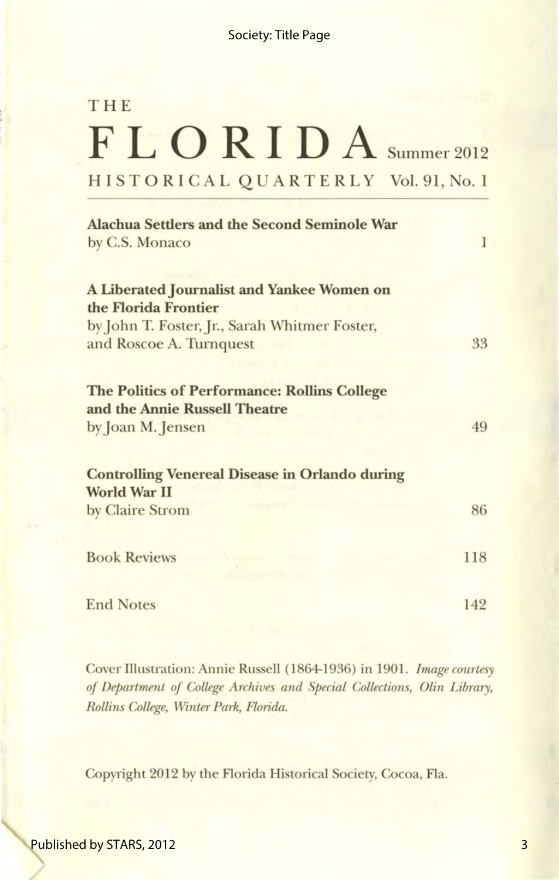## **THE FLORIDA** Summer 2012 HIST 0 RIC AL QUARTERLY Vol. 91, No. 1

| <b>Alachua Settlers and the Second Seminole War</b>                                  |     |
|--------------------------------------------------------------------------------------|-----|
| by C.S. Monaco                                                                       | 1   |
|                                                                                      |     |
| A Liberated Journalist and Yankee Women on                                           |     |
| the Florida Frontier                                                                 |     |
| by John T. Foster, Jr., Sarah Whitmer Foster,                                        |     |
| and Roscoe A. Turnquest                                                              | 33  |
| <b>The Politics of Performance: Rollins College</b><br>and the Annie Russell Theatre |     |
| by Joan M. Jensen                                                                    | 49  |
|                                                                                      |     |
| <b>Controlling Venereal Disease in Orlando during</b><br><b>World War II</b>         |     |
|                                                                                      | 86  |
| by Claire Strom                                                                      |     |
| <b>Book Reviews</b>                                                                  | 118 |
|                                                                                      |     |
| <b>End Notes</b>                                                                     | 142 |

Cover Illustration: Annie Russell (1864-1936) in 1901. *Image courtesy of Department of College Archives and Special Collections, Olin Library, Rollins College, Winter Park, Florida.* 

Copyright 2012 by the Florida Historical Society, Cocoa, Fla.